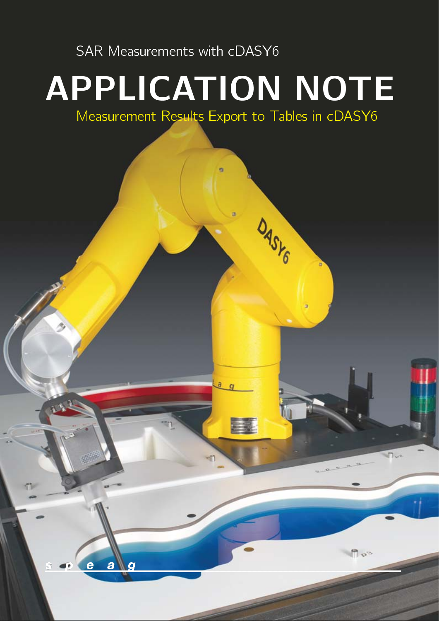SAR Measurements with cDASY6

# <span id="page-0-0"></span>APPLICATION NOTE

Measurement Results Export to Tables in cDASY6

 $\overline{a}$ 

DASYG

 $n^2$ 

a  $\overline{c}$ 

m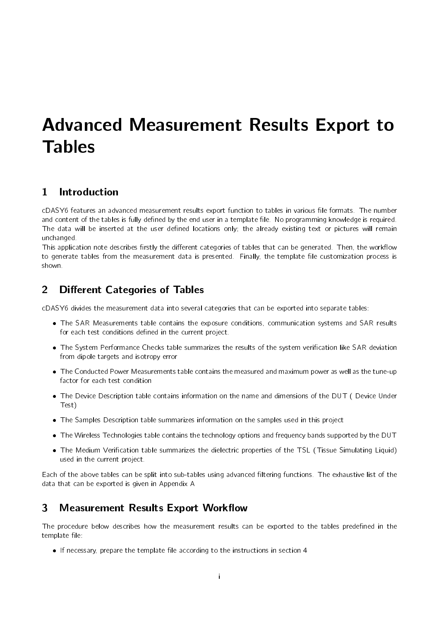# Advanced Measurement Results Export to Tables

# 1 Introduction

[cDASY6](#page-0-0) features an advanced measurement results export function to tables in various file formats. The number and content of the tables is fully defined by the end user in a template file. No programming knowledge is required. The data will be inserted at the user defined locations only; the already existing text or pictures will remain unchanged.

This application note describes firstly the different categories of tables that can be generated. Then, the workflow to generate tables from the measurement data is presented. Finally, the template file customization process is shown.

# <span id="page-1-0"></span>2 Different Categories of Tables

[cDASY6](#page-0-0) divides the measurement data into several categories that can be exported into separate tables:

- The SAR Measurements table contains the exposure conditions, communication systems and SAR results for each test conditions defined in the current project.
- . The System Performance Checks table summarizes the results of the system verification like SAR deviation from dipole targets and isotropy error
- The Conducted Power Measurements table contains the measured and maximum power as well as the tune-up factor for each test condition
- The Device Description table contains information on the name and dimensions of the DUT ( Device Under Test)
- The Samples Description table summarizes information on the samples used in this project
- The Wireless Technologies table contains the technology options and frequency bands supported by the DUT
- The Medium Verication table summarizes the dielectric properties of the TSL (Tissue Simulating Liquid) used in the current project.

Each of the above tables can be split into sub-tables using advanced filtering functions. The exhaustive list of the data that can be exported is given in [Appendix A](#page-8-0)

# 3 Measurement Results Export Workflow

The procedure below describes how the measurement results can be exported to the tables predefined in the template file:

 $\bullet$  If necessary, prepare the template file according to the instructions in section [4](#page-2-0)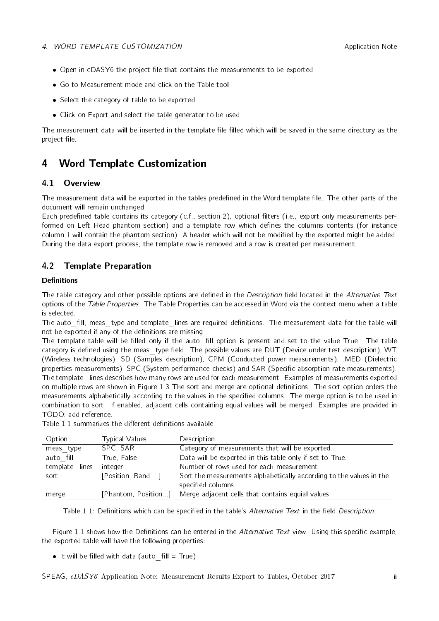- $\bullet$  Open in [cDASY6](#page-0-0) the project file that contains the measurements to be exported
- Go to Measurement mode and click on the Table tool
- Select the category of table to be exported
- Click on Export and select the table generator to be used

The measurement data will be inserted in the template file filled which will be saved in the same directory as the project file.

# <span id="page-2-0"></span>4 Word Template Customization

#### 4.1 Overview

The measurement data will be exported in the tables predefined in the Word template file. The other parts of the document will remain unchanged.

Each predefined table contains its category (c.f., section [2\)](#page-1-0), optional filters (i.e., export only measurements performed on Left Head phantom section) and a template row which defines the columns contents (for instance column 1 will contain the phantom section). A header which will not be modified by the exported might be added. During the data export process, the template row is removed and a row is created per measurement.

#### 4.2 Template Preparation

#### Definitions

The table category and other possible options are defined in the Description field located in the Alternative Text options of the Table Properties. The Table Properties can be accessed in Word via the context menu when a table is selected.

The auto fill, meas type and template lines are required definitions. The measurement data for the table will not be exported if any of the definitions are missing.

The template table will be filled only if the auto fill option is present and set to the value True. The table category is defined using the meas type field. The possible values are DUT (Device under test description), WT (Wireless technologies), SD (Samples description), CPM (Conducted power measurements), .MED (Dielectric properties measurements), SPC (System performance checks) and SAR (Specific absorption rate measurements). The template lines describes how many rows are used for each measurement. Examples of measurements exported on multiple rows are shown in Figure [1.3](#page-5-0) The sort and merge are optional definitions. The sort option orders the measurements alphabetically according to the values in the specified columns. The merge option is to be used in combination to sort. If enabled, adjacent cells containing equal values will be merged. Examples are provided in TODO: add reference.

| Table 1.1 summarizes the different definitions available |  |  |  |
|----------------------------------------------------------|--|--|--|
|----------------------------------------------------------|--|--|--|

<span id="page-2-1"></span>

| Option         | <b>Typical Values</b> | Description                                                                              |
|----------------|-----------------------|------------------------------------------------------------------------------------------|
| meas type      | SPC SAR               | Category of measurements that will be exported.                                          |
| auto fill      | True, False           | Data will be exported in this table only if set to True.                                 |
| template lines | integer               | Number of rows used for each measurement.                                                |
| sort           | [Position, Band]      | Sort the measurements alphabetically according to the values in the<br>specified columns |
| merge          | [Phantom, Position]   | Merge adjacent cells that contains equial values.                                        |

Table 1.1: Definitions which can be specified in the table's Alternative Text in the field Description.

Figure [1.1](#page-3-0) shows how the Definitions can be entered in the Alternative Text view. Using this specific example, the exported table will have the following properties:

It will be filled with data (auto  $\text{fill} = \text{True}$ )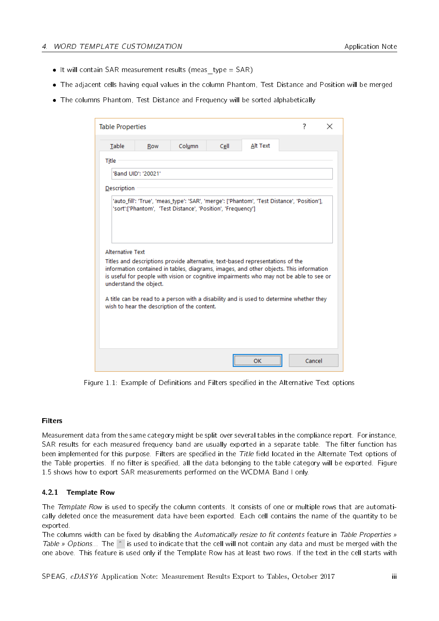- It will contain SAR measurement results (meas  $type = SAR$ )
- The adjacent cells having equal values in the column Phantom, Test Distance and Position will be merged
- <span id="page-3-0"></span>The columns Phantom, Test Distance and Frequency will be sorted alphabetically

| Table                   | Row                    | Column                                                                                                                                                                                                                                                                                                                                                                                                         | Cell | Alt Text |  |  |
|-------------------------|------------------------|----------------------------------------------------------------------------------------------------------------------------------------------------------------------------------------------------------------------------------------------------------------------------------------------------------------------------------------------------------------------------------------------------------------|------|----------|--|--|
|                         |                        |                                                                                                                                                                                                                                                                                                                                                                                                                |      |          |  |  |
| Title                   |                        |                                                                                                                                                                                                                                                                                                                                                                                                                |      |          |  |  |
|                         | 'Band UID': '20021'    |                                                                                                                                                                                                                                                                                                                                                                                                                |      |          |  |  |
| Description             |                        |                                                                                                                                                                                                                                                                                                                                                                                                                |      |          |  |  |
|                         |                        |                                                                                                                                                                                                                                                                                                                                                                                                                |      |          |  |  |
| <b>Alternative Text</b> |                        |                                                                                                                                                                                                                                                                                                                                                                                                                |      |          |  |  |
|                         | understand the object. | Titles and descriptions provide alternative, text-based representations of the<br>information contained in tables, diagrams, images, and other objects. This information<br>is useful for people with vision or cognitive impairments who may not be able to see or<br>A title can be read to a person with a disability and is used to determine whether they<br>wish to hear the description of the content. |      |          |  |  |

Figure 1.1: Example of Definitions and Filters specified in the Alternative Text options

#### Filters

Measurement data from the same category might be split over several tables in the compliance report. For instance, SAR results for each measured frequency band are usually exported in a separate table. The filter function has been implemented for this purpose. Filters are specified in the Title field located in the Alternate Text options of the Table properties. If no filter is specified, all the data belonging to the table category will be exported. Figure [1.5](#page-7-0) shows how to export SAR measurements performed on the WCDMA Band I only.

#### 4.2.1 Template Row

The Template Row is used to specify the column contents. It consists of one or multiple rows that are automatically deleted once the measurement data have been exported. Each cell contains the name of the quantity to be exported.

The columns width can be fixed by disabling the Automatically resize to fit contents feature in Table Properties » Table » Options... The  $\hat{\ }$  is used to indicate that the cell will not contain any data and must be merged with the one above. This feature is used only if the Template Row has at least two rows. If the text in the cell starts with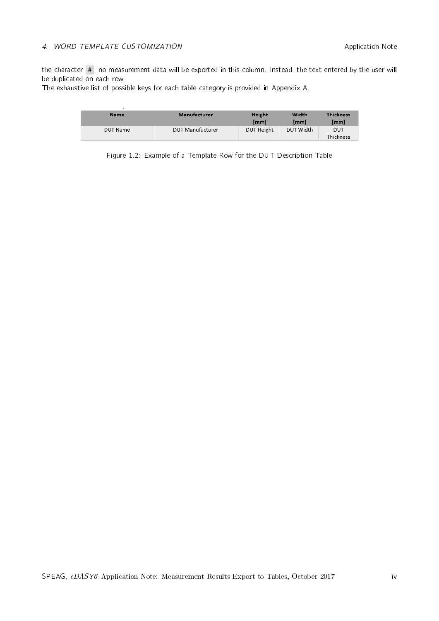the character #, no measurement data will be exported in this column. Instead, the text entered by the user will be duplicated on each row.

The exhaustive list of possible keys for each table category is provided in [Appendix A.](#page-8-0)

| <b>Name</b>     | Manufacturer            | Height<br>[mm] | Width<br>[mm] | <b>Thickness</b><br>[mm] |
|-----------------|-------------------------|----------------|---------------|--------------------------|
| <b>DUT Name</b> | <b>DUT Manufacturer</b> | DUT Height     | DUT Width     | <b>DUT</b><br>Thickness  |

Figure 1.2: Example of a Template Row for the DUT Description Table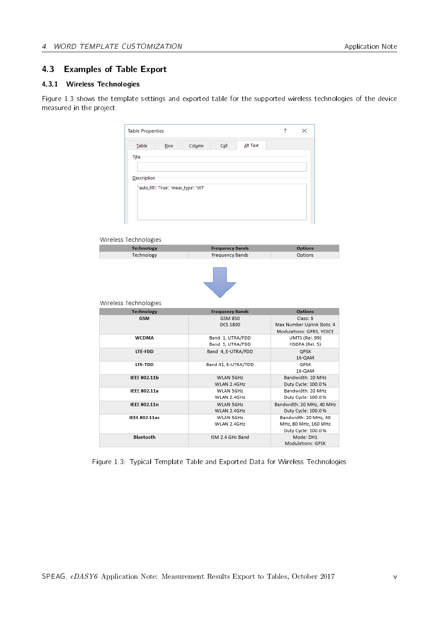#### 4.3 Examples of Table Export

#### 4.3.1 Wireless Technologies

<span id="page-5-0"></span>Figure [1.3](#page-5-0) shows the template settings and exported table for the supported wireless technologies of the device measured in the project.

| <b>Table Properties</b>         |                                        |        |                                   |          | 7 | ×                                                      |
|---------------------------------|----------------------------------------|--------|-----------------------------------|----------|---|--------------------------------------------------------|
| Table                           | Row                                    | Column | Cell                              | Alt Text |   |                                                        |
| Title                           |                                        |        |                                   |          |   |                                                        |
|                                 |                                        |        |                                   |          |   |                                                        |
| Description                     |                                        |        |                                   |          |   |                                                        |
|                                 | 'auto_fill': 'True', 'meas_type': 'WT' |        |                                   |          |   |                                                        |
|                                 |                                        |        |                                   |          |   |                                                        |
| Wireless Technologies           |                                        |        |                                   |          |   |                                                        |
| <b>Technology</b>               |                                        |        | <b>Frequency Bands</b>            |          |   | <b>Options</b>                                         |
| Technology                      |                                        |        | Frequency Bands                   |          |   | Options                                                |
| Wireless Technologies           |                                        |        |                                   |          |   |                                                        |
| <b>Technology</b><br><b>GSM</b> |                                        |        | <b>Frequency Bands</b><br>GSM 850 |          |   | <b>Options</b><br>Class: B                             |
|                                 |                                        |        | <b>DCS 1800</b>                   |          |   | Max Number Uplink Slots: 4<br>Modulations: GPRS, VOICE |
| <b>WCDMA</b>                    |                                        |        | Band 1, UTRA/FDD                  |          |   | UMTS (Rel. 99)                                         |
|                                 |                                        |        | Band 5, UTRA/FDD                  |          |   | HSDPA (Rel. 5)                                         |
| LTE-FDD                         |                                        |        | Band 4, E-UTRA/FDD                |          |   | QPSK<br>16-QAM                                         |
| LTE-TDD                         |                                        |        | Band 41, E-UTRA/TDD               |          |   | QPSK                                                   |
|                                 |                                        |        |                                   |          |   | 16-QAM                                                 |
| <b>IEEE 802.11b</b>             |                                        |        | WLAN 5GHz                         |          |   | Bandwidth: 20 MHz                                      |
|                                 |                                        |        | WLAN 2.4GHz                       |          |   | Duty Cycle: 100.0 %                                    |
| <b>IEEE 802.11a</b>             |                                        |        | WLAN 5GHz                         |          |   | Bandwidth: 20 MHz                                      |
| <b>IEEE 802.11n</b>             |                                        |        | WLAN 2.4GHz<br>WLAN 5GHz          |          |   | Duty Cycle: 100.0 %                                    |
|                                 |                                        |        | WLAN 2.4GHz                       |          |   | Bandwidth: 20 MHz, 40 MHz<br>Duty Cycle: 100.0 %       |
| <b>IEEE 802.11ac</b>            |                                        |        | WLAN 5GHz                         |          |   | Bandwidth: 20 MHz, 40                                  |
|                                 |                                        |        | WLAN 2.4GHz                       |          |   | MHz, 80 MHz, 160 MHz                                   |
| <b>Bluetooth</b>                |                                        |        | ISM 2.4 GHz Band                  |          |   | Duty Cycle: 100.0 %<br>Mode: DH1                       |

Figure 1.3: Typical Template Table and Exported Data for Wireless Technologies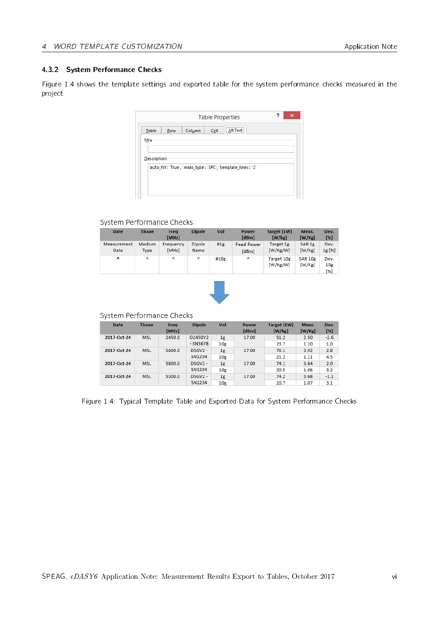#### 4.3.2 System Performance Checks

<span id="page-6-0"></span>Figure [1.4](#page-6-0) shows the template settings and exported table for the system performance checks measured in the project.

| <br>Alt Text<br>Cell<br>Column<br>Table<br>ŧ<br>Row<br>Title   |  |
|----------------------------------------------------------------|--|
|                                                                |  |
|                                                                |  |
|                                                                |  |
| Description                                                    |  |
| 'auto_fill': 'True', 'meas_type': 'SPC', 'template_lines': '2' |  |

#### System Performance Checks

| <b>Date</b>                     | <b>Tissue</b>  | Frea<br>[MHz]      | <b>Dipole</b>  | Vol  | Power<br>[dBm]             | Target (1W)<br>[W/kg]  | Meas.<br>[W/Kg]   | Dev.<br>[%]        |
|---------------------------------|----------------|--------------------|----------------|------|----------------------------|------------------------|-------------------|--------------------|
| Measurement<br>Date             | Medium<br>Type | Frequency<br>[MHz] | Dipole<br>Name | #1g  | <b>Feed Power</b><br>[dBm] | Target 1g<br>[W/Kg/W]  | SAR 1g<br>[W/Kg]  | Dev.<br>1g [%]     |
| $\boldsymbol{\mathsf{\Lambda}}$ | $\Lambda$      | ٨                  | Λ              | #10g | ٨                          | Target 10g<br>[W/Kg/W] | SAR 10g<br>[W/Kg] | Dev.<br>10g<br>[%] |



System Performance Checks

| <b>Date</b> | <b>Tissue</b> | Frea<br>[MHz] | <b>Dipole</b> | Vol             | Power<br>[dBm] | Target (1W)<br>[W/kg] | Meas.<br>[W/Kg] | Dev.<br>[%] |
|-------------|---------------|---------------|---------------|-----------------|----------------|-----------------------|-----------------|-------------|
| 2017-Oct-24 | MSL           | 2450.0        | D2450V2       | 1 <sub>g</sub>  | 17.00          | 51.2                  | 2.50            | $-2.6$      |
|             |               |               | - SN5678      | 10g             |                | 23.7                  | 1.20            | 1.0         |
| 2017-Oct-24 | MSL           | 5600.0        | D5GV2 -       | 1g              | 17.00          | 76.1                  | 3.92            | 2.8         |
|             |               |               | SN1234        | 10 <sub>g</sub> |                | 21.2                  | 1.11            | 4.5         |
| 2017-Oct-24 | MSL           | 5800.0        | D5GV2 -       | 1g              | 17.00          | 74.1                  | 3.64            | 2.0         |
|             |               |               | SN1234        | 10 <sub>g</sub> |                | 20.5                  | 1.06            | 3.2         |
| 2017-Oct-24 | MSL           | 5300.0        | D5GV2 -       | 1g              | 17.00          | 74.2                  | 3.68            | $-1.1$      |
|             |               |               | SN1234        | 10 <sub>g</sub> |                | 20.7                  | 1.07            | 3.1         |

Figure 1.4: Typical Template Table and Exported Data for System Performance Checks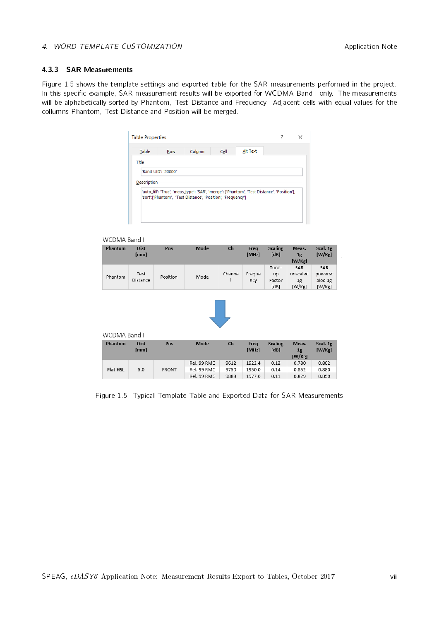#### 4.3.3 SAR Measurements

<span id="page-7-0"></span>Figure [1.5](#page-7-0) shows the template settings and exported table for the SAR measurements performed in the project. In this specific example, SAR measurement results will be exported for WCDMA Band I only. The measurements will be alphabetically sorted by Phantom, Test Distance and Frequency. Adjacent cells with equal values for the collumns Phantom, Test Distance and Position will be merged.

| Table       | <b>Row</b>          | Column                                                       | Cell | Alt Text                                                                                    |  |
|-------------|---------------------|--------------------------------------------------------------|------|---------------------------------------------------------------------------------------------|--|
| Title       |                     |                                                              |      |                                                                                             |  |
|             |                     |                                                              |      |                                                                                             |  |
|             | 'Band UID': '20000' |                                                              |      |                                                                                             |  |
|             |                     |                                                              |      |                                                                                             |  |
|             |                     |                                                              |      |                                                                                             |  |
|             |                     |                                                              |      |                                                                                             |  |
|             |                     |                                                              |      |                                                                                             |  |
| Description |                     | 'sort':['Phantom', 'Test Distance', 'Position', 'Frequency'] |      | 'auto_fill': 'True', 'meas_type': 'SAR', 'merge': ['Phantom', 'Test Distance', 'Position'], |  |
|             |                     |                                                              |      |                                                                                             |  |

#### WCDMA Band L

| Phantom         | <b>Dist</b><br>[mm] | Pos          | <b>Mode</b> | Ch     | Freq<br>[MHz] | <b>Scaling</b><br>[dB]        | Meas.<br>1 <sub>g</sub><br>[W/Kg] | Scal. 1g<br>[W/Kg]                  |
|-----------------|---------------------|--------------|-------------|--------|---------------|-------------------------------|-----------------------------------|-------------------------------------|
| Phantom         | Test<br>Distance    | Position     | Mode        | Channe | Freque<br>ncy | Tune-<br>up<br>Factor<br>[dB] | SAR<br>unscaled<br>1g<br>[W/Kg]   | SAR<br>powersc<br>aled 1g<br>[W/Kg] |
|                 |                     |              |             |        |               |                               |                                   |                                     |
| WCDMA Band I    |                     |              |             |        |               |                               |                                   |                                     |
| Phantom         | <b>Dist</b><br>[mm] | Pos          | <b>Mode</b> | $ch$   | Freq<br>[MHz] | <b>Scaling</b><br>[dB]        | Meas.<br>1 <sub>g</sub><br>[W/Kg] | Scal. 1g<br>[W/Kg]                  |
|                 |                     |              | Rel. 99 RMC | 9612   | 1922.4        | 0.12                          | 0.780                             | 0.802                               |
| <b>Flat HSL</b> | 5.0                 | <b>FRONT</b> | Rel. 99 RMC | 9750   | 1950.0        | 0.14                          | 0.852                             | 0.880                               |
|                 |                     |              | Rel. 99 RMC | 9888   | 1977.6        | 0.11                          | 0.829                             | 0.850                               |

Figure 1.5: Typical Template Table and Exported Data for SAR Measurements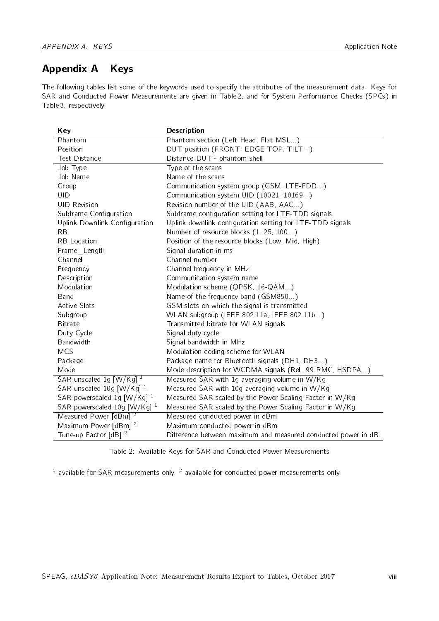# <span id="page-8-0"></span>Appendix A Keys

The following tables list some of the keywords used to specify the attributes of the measurement data. Keys for SAR and Conducted Power Measurements are given in Table [2,](#page-8-1) and for System Performance Checks (SPCs) in Table [3,](#page-9-0) respectively.

<span id="page-8-1"></span>

| Key                                  | <b>Description</b>                                            |
|--------------------------------------|---------------------------------------------------------------|
| Phantom                              | Phantom section (Left Head, Flat MSL)                         |
| Position                             | DUT position (FRONT, EDGE TOP, TILT)                          |
| <b>Test Distance</b>                 | Distance DUT - phantom shell                                  |
| Job Type                             | Type of the scans                                             |
| Job Name                             | Name of the scans                                             |
| Group                                | Communication system group (GSM, LTE-FDD)                     |
| UID                                  | Communication system UID (10021, 10169)                       |
| <b>UID Revision</b>                  | Revision number of the UID (AAB, AAC)                         |
| Subframe Configuration               | Subframe configuration setting for LTE-TDD signals            |
| Uplink Downlink Configuration        | Uplink downlink configuration setting for LTE-TDD signals     |
| <b>RB</b>                            | Number of resource blocks (1, 25, 100)                        |
| <b>RB</b> Location                   | Position of the resource blocks (Low, Mid, High)              |
| Frame Length                         | Signal duration in ms                                         |
| Channel                              | Channel number                                                |
| Frequency                            | Channel frequency in MHz                                      |
| Description                          | Communication system name                                     |
| Modulation                           | Modulation scheme (QPSK, 16-QAM)                              |
| Band                                 | Name of the frequency band (GSM850)                           |
| <b>Active Slots</b>                  | GSM slots on which the signal is transmitted                  |
| Subgroup                             | WLAN subgroup (IEEE 802.11a, IEEE 802.11b)                    |
| Bitrate                              | Transmitted bitrate for WLAN signals                          |
| Duty Cycle                           | Signal duty cycle                                             |
| Bandwidth                            | Signal bandwidth in MHz                                       |
| <b>MCS</b>                           | Modulation coding scheme for WLAN                             |
| Package                              | Package name for Bluetooth signals (DH1, DH3)                 |
| Mode                                 | Mode description for WCDMA signals (Rel. 99 RMC, HSDPA)       |
| SAR unscaled 1g [W/Kg] 1             | Measured SAR with 1g averaging volume in W/Kg                 |
| SAR unscaled 10g [W/Kg] <sup>1</sup> | Measured SAR with 10g averaging volume in W/Kg                |
| SAR powerscaled 1g [W/Kg] $^1$       | Measured SAR scaled by the Power Scaling Factor in W/Kg       |
| SAR powerscaled 10g [W/Kg] $^1$      | Measured SAR scaled by the Power Scaling Factor in W/Kg       |
| Measured Power [dBm] <sup>2</sup>    | Measured conducted power in dBm                               |
| Maximum Power [dBm] <sup>2</sup>     | Maximum conducted power in dBm                                |
| Tune-up Factor [dB] <sup>2</sup>     | Difference between maximum and measured conducted power in dB |

Table 2: Available Keys for SAR and Conducted Power Measurements

<sup>1</sup> available for SAR measurements only. <sup>2</sup> available for conducted power measurements only